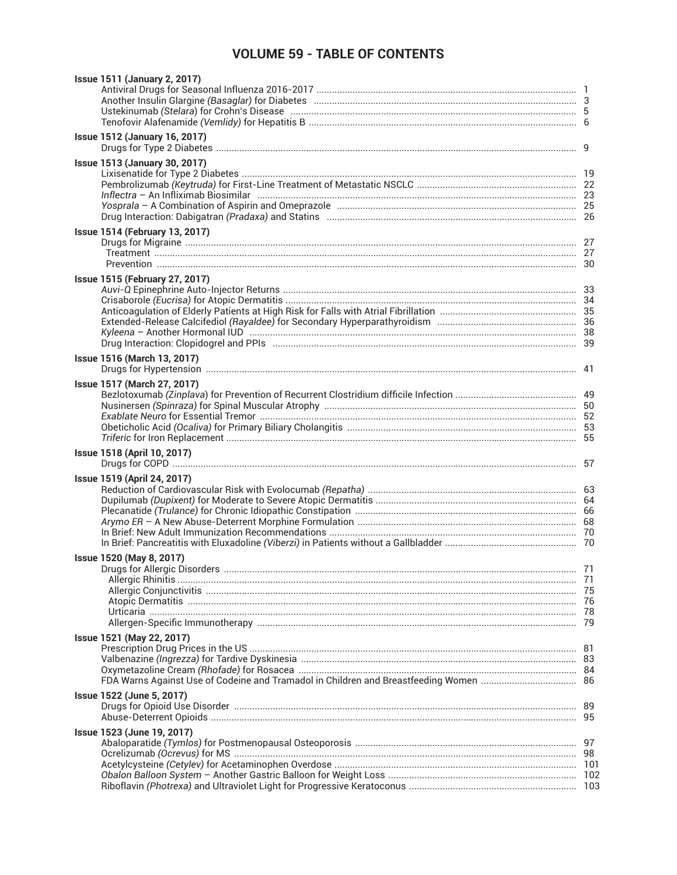## **VOLUME 59 - TABLE OF CONTENTS**

| <b>Issue 1511 (January 2, 2017)</b>                                                                                                                     |    |
|---------------------------------------------------------------------------------------------------------------------------------------------------------|----|
| <b>Issue 1512 (January 16, 2017)</b>                                                                                                                    |    |
| <b>Issue 1513 (January 30, 2017)</b>                                                                                                                    |    |
| <b>Issue 1514 (February 13, 2017)</b>                                                                                                                   |    |
| <b>Issue 1515 (February 27, 2017)</b><br>Drug Interaction: Clopidogrel and PPIs (1000) (2000) (2000) (2000) (2000) (2000) (2000) (2000) (2000) (2000) ( |    |
| Issue 1516 (March 13, 2017)                                                                                                                             |    |
| Issue 1517 (March 27, 2017)                                                                                                                             |    |
| Issue 1518 (April 10, 2017)                                                                                                                             |    |
| Issue 1519 (April 24, 2017)                                                                                                                             |    |
| Issue 1520 (May 8, 2017)<br><b>Druas for Alleraic Disorders</b>                                                                                         | 71 |
| Issue 1521 (May 22, 2017)                                                                                                                               |    |
| Issue 1522 (June 5, 2017)                                                                                                                               |    |
| Issue 1523 (June 19, 2017)                                                                                                                              |    |